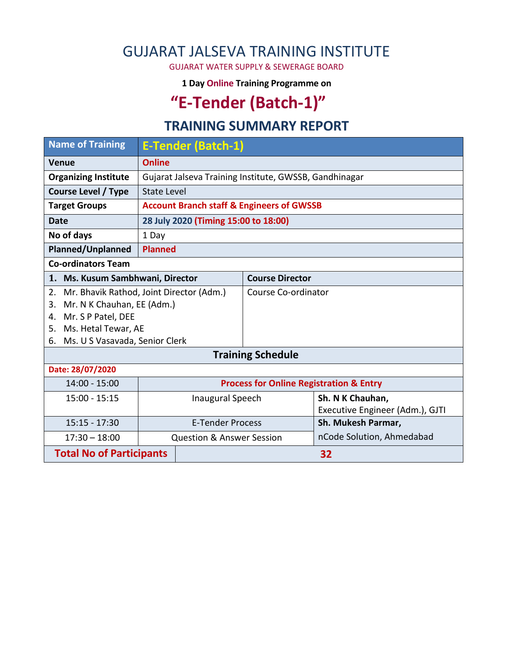## GUJARAT JALSEVA TRAINING INSTITUTE

GUJARAT WATER SUPPLY & SEWERAGE BOARD

**1 Day Online Training Programme on** 

# **"E-Tender (Batch-1)"**

#### **TRAINING SUMMARY REPORT**

| <b>Name of Training</b>                        |                                                        | <b>E-Tender (Batch-1)</b> |                                 |                    |  |  |  |
|------------------------------------------------|--------------------------------------------------------|---------------------------|---------------------------------|--------------------|--|--|--|
| <b>Venue</b>                                   | <b>Online</b>                                          |                           |                                 |                    |  |  |  |
| <b>Organizing Institute</b>                    | Gujarat Jalseva Training Institute, GWSSB, Gandhinagar |                           |                                 |                    |  |  |  |
| <b>Course Level / Type</b>                     | State Level                                            |                           |                                 |                    |  |  |  |
| <b>Target Groups</b>                           | <b>Account Branch staff &amp; Engineers of GWSSB</b>   |                           |                                 |                    |  |  |  |
| <b>Date</b>                                    | 28 July 2020 (Timing 15:00 to 18:00)                   |                           |                                 |                    |  |  |  |
| No of days<br>1 Day                            |                                                        |                           |                                 |                    |  |  |  |
| <b>Planned/Unplanned</b>                       |                                                        | <b>Planned</b>            |                                 |                    |  |  |  |
| <b>Co-ordinators Team</b>                      |                                                        |                           |                                 |                    |  |  |  |
| 1. Ms. Kusum Sambhwani, Director               |                                                        |                           | <b>Course Director</b>          |                    |  |  |  |
| Mr. Bhavik Rathod, Joint Director (Adm.)<br>2. |                                                        |                           | Course Co-ordinator             |                    |  |  |  |
| Mr. N K Chauhan, EE (Adm.)<br>3.               |                                                        |                           |                                 |                    |  |  |  |
| Mr. S P Patel, DEE<br>4.                       |                                                        |                           |                                 |                    |  |  |  |
| Ms. Hetal Tewar, AE<br>5.                      |                                                        |                           |                                 |                    |  |  |  |
| Ms. U S Vasavada, Senior Clerk<br>6.           |                                                        |                           |                                 |                    |  |  |  |
| <b>Training Schedule</b>                       |                                                        |                           |                                 |                    |  |  |  |
| Date: 28/07/2020                               |                                                        |                           |                                 |                    |  |  |  |
| 14:00 - 15:00                                  | <b>Process for Online Registration &amp; Entry</b>     |                           |                                 |                    |  |  |  |
| $15:00 - 15:15$                                |                                                        | Inaugural Speech          |                                 | Sh. N K Chauhan,   |  |  |  |
|                                                |                                                        |                           | Executive Engineer (Adm.), GJTI |                    |  |  |  |
| $15:15 - 17:30$                                | <b>E-Tender Process</b>                                |                           |                                 | Sh. Mukesh Parmar, |  |  |  |
| $17:30 - 18:00$                                | <b>Question &amp; Answer Session</b>                   |                           | nCode Solution, Ahmedabad       |                    |  |  |  |
| <b>Total No of Participants</b>                |                                                        | 32                        |                                 |                    |  |  |  |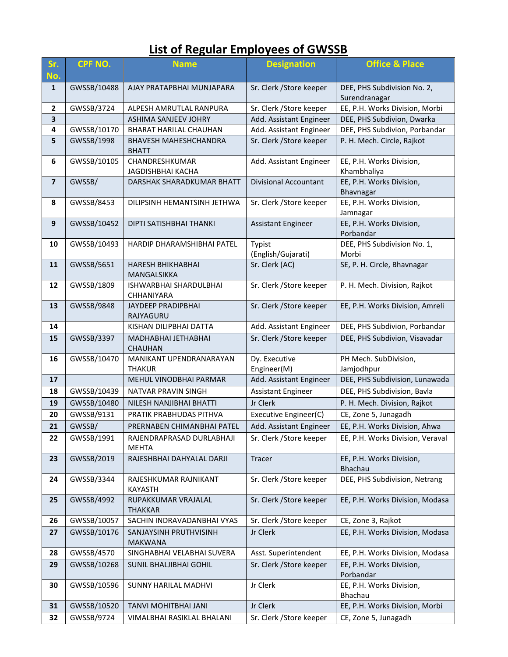## **List of Regular Employees of GWSSB**

| Sr.<br>No.              | CPF NO.     | <b>Name</b>                                  | <b>Designation</b>           | <b>Office &amp; Place</b>                    |  |
|-------------------------|-------------|----------------------------------------------|------------------------------|----------------------------------------------|--|
| $\mathbf{1}$            | GWSSB/10488 | AJAY PRATAPBHAI MUNJAPARA                    | Sr. Clerk / Store keeper     | DEE, PHS Subdivision No. 2,<br>Surendranagar |  |
| $\mathbf{2}$            | GWSSB/3724  | ALPESH AMRUTLAL RANPURA                      | Sr. Clerk / Store keeper     | EE, P.H. Works Division, Morbi               |  |
| $\overline{\mathbf{3}}$ |             | ASHIMA SANJEEV JOHRY                         | Add. Assistant Engineer      | DEE, PHS Subdivion, Dwarka                   |  |
| 4                       | GWSSB/10170 | BHARAT HARILAL CHAUHAN                       | Add. Assistant Engineer      | DEE, PHS Subdivion, Porbandar                |  |
| 5                       | GWSSB/1998  | <b>BHAVESH MAHESHCHANDRA</b><br><b>BHATT</b> | Sr. Clerk / Store keeper     | P. H. Mech. Circle, Rajkot                   |  |
| 6                       | GWSSB/10105 | CHANDRESHKUMAR<br>JAGDISHBHAI KACHA          | Add. Assistant Engineer      | EE, P.H. Works Division,<br>Khambhaliya      |  |
| $\overline{\mathbf{z}}$ | GWSSB/      | DARSHAK SHARADKUMAR BHATT                    | Divisional Accountant        | EE, P.H. Works Division,<br>Bhavnagar        |  |
| 8                       | GWSSB/8453  | DILIPSINH HEMANTSINH JETHWA                  | Sr. Clerk / Store keeper     | EE, P.H. Works Division,<br>Jamnagar         |  |
| 9                       | GWSSB/10452 | DIPTI SATISHBHAI THANKI                      | <b>Assistant Engineer</b>    | EE, P.H. Works Division,<br>Porbandar        |  |
| 10                      | GWSSB/10493 | <b>HARDIP DHARAMSHIBHAI PATEL</b>            | Typist<br>(English/Gujarati) | DEE, PHS Subdivision No. 1,<br>Morbi         |  |
| 11                      | GWSSB/5651  | HARESH BHIKHABHAI<br>MANGALSIKKA             | Sr. Clerk (AC)               | SE, P. H. Circle, Bhavnagar                  |  |
| 12                      | GWSSB/1809  | ISHWARBHAI SHARDULBHAI<br>CHHANIYARA         | Sr. Clerk / Store keeper     | P. H. Mech. Division, Rajkot                 |  |
| 13                      | GWSSB/9848  | <b>JAYDEEP PRADIPBHAI</b><br>RAJYAGURU       | Sr. Clerk / Store keeper     | EE, P.H. Works Division, Amreli              |  |
| 14                      |             | KISHAN DILIPBHAI DATTA                       | Add. Assistant Engineer      | DEE, PHS Subdivion, Porbandar                |  |
| 15                      | GWSSB/3397  | MADHABHAI JETHABHAI<br><b>CHAUHAN</b>        | Sr. Clerk / Store keeper     | DEE, PHS Subdivion, Visavadar                |  |
| 16                      | GWSSB/10470 | MANIKANT UPENDRANARAYAN<br><b>THAKUR</b>     | Dy. Executive<br>Engineer(M) | PH Mech. SubDivision,<br>Jamjodhpur          |  |
| 17                      |             | MEHUL VINODBHAI PARMAR                       | Add. Assistant Engineer      | DEE, PHS Subdivision, Lunawada               |  |
| 18                      | GWSSB/10439 | NATVAR PRAVIN SINGH                          | <b>Assistant Engineer</b>    | DEE, PHS Subdivision, Bavla                  |  |
| 19                      | GWSSB/10480 | NILESH NANJIBHAI BHATTI                      | Jr Clerk                     | P. H. Mech. Division, Rajkot                 |  |
| 20                      | GWSSB/9131  | PRATIK PRABHUDAS PITHVA                      | Executive Engineer(C)        | CE, Zone 5, Junagadh                         |  |
| 21                      | GWSSB/      | PRERNABEN CHIMANBHAI PATEL                   | Add. Assistant Engineer      | EE, P.H. Works Division, Ahwa                |  |
| 22                      | GWSSB/1991  | RAJENDRAPRASAD DURLABHAJI<br><b>MEHTA</b>    | Sr. Clerk / Store keeper     | EE, P.H. Works Division, Veraval             |  |
| 23                      | GWSSB/2019  | RAJESHBHAI DAHYALAL DARJI                    | <b>Tracer</b>                | EE, P.H. Works Division,<br><b>Bhachau</b>   |  |
| 24                      | GWSSB/3344  | RAJESHKUMAR RAJNIKANT<br><b>KAYASTH</b>      | Sr. Clerk / Store keeper     | DEE, PHS Subdivision, Netrang                |  |
| 25                      | GWSSB/4992  | RUPAKKUMAR VRAJALAL<br><b>THAKKAR</b>        | Sr. Clerk / Store keeper     | EE, P.H. Works Division, Modasa              |  |
| 26                      | GWSSB/10057 | SACHIN INDRAVADANBHAI VYAS                   | Sr. Clerk / Store keeper     | CE, Zone 3, Rajkot                           |  |
| 27                      | GWSSB/10176 | SANJAYSINH PRUTHVISINH<br><b>MAKWANA</b>     | Jr Clerk                     | EE, P.H. Works Division, Modasa              |  |
| 28                      | GWSSB/4570  | SINGHABHAI VELABHAI SUVERA                   | Asst. Superintendent         | EE, P.H. Works Division, Modasa              |  |
| 29                      | GWSSB/10268 | SUNIL BHALJIBHAI GOHIL                       | Sr. Clerk / Store keeper     | EE, P.H. Works Division,<br>Porbandar        |  |
| 30                      | GWSSB/10596 | SUNNY HARILAL MADHVI                         | Jr Clerk                     | EE, P.H. Works Division,<br>Bhachau          |  |
| 31                      | GWSSB/10520 | TANVI MOHITBHAI JANI                         | Jr Clerk                     | EE, P.H. Works Division, Morbi               |  |
| 32                      | GWSSB/9724  | VIMALBHAI RASIKLAL BHALANI                   | Sr. Clerk / Store keeper     | CE, Zone 5, Junagadh                         |  |